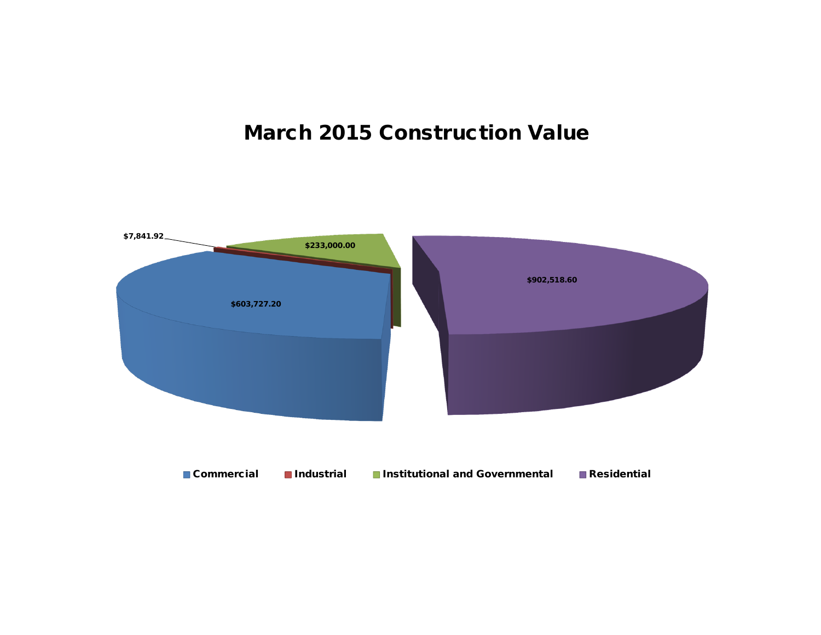## **March 2015 Construction Value**

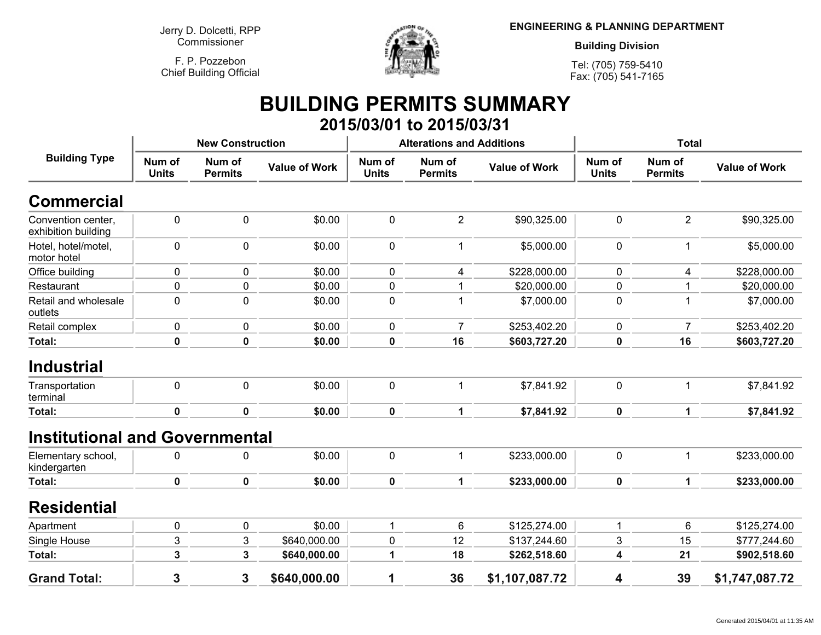**Jerry D. Dolcetti, RPPCommissioner**

**F. P. PozzebonChief Building Official**



**ENGINEERING & PLANNING DEPARTMENT**

**Building Division**

**Tel: (705) 759-5410Fax: (705) 541-7165**

## **BUILDING PERMITS SUMMARY 2015/03/01 to 2015/03/31**

| <b>Building Type</b>                      |                        | <b>New Construction</b>  |                      |                        | <b>Alterations and Additions</b> |                      | <b>Total</b>           |                          |                      |
|-------------------------------------------|------------------------|--------------------------|----------------------|------------------------|----------------------------------|----------------------|------------------------|--------------------------|----------------------|
|                                           | Num of<br><b>Units</b> | Num of<br><b>Permits</b> | <b>Value of Work</b> | Num of<br><b>Units</b> | Num of<br><b>Permits</b>         | <b>Value of Work</b> | Num of<br><b>Units</b> | Num of<br><b>Permits</b> | <b>Value of Work</b> |
| <b>Commercial</b>                         |                        |                          |                      |                        |                                  |                      |                        |                          |                      |
| Convention center,<br>exhibition building | 0                      | $\mathbf 0$              | \$0.00               | 0                      | $\overline{2}$                   | \$90,325.00          | 0                      | $\overline{2}$           | \$90,325.00          |
| Hotel, hotel/motel,<br>motor hotel        | 0                      | $\pmb{0}$                | \$0.00               | 0                      | $\mathbf 1$                      | \$5,000.00           | 0                      | $\mathbf{1}$             | \$5,000.00           |
| Office building                           | 0                      | $\mathbf 0$              | \$0.00               | 0                      | 4                                | \$228,000.00         | 0                      | 4                        | \$228,000.00         |
| Restaurant                                | 0                      | $\mathbf 0$              | \$0.00               | 0                      |                                  | \$20,000.00          | 0                      | 1                        | \$20,000.00          |
| Retail and wholesale<br>outlets           | 0                      | $\Omega$                 | \$0.00               | 0                      | 1                                | \$7,000.00           | $\mathbf{0}$           | $\mathbf 1$              | \$7,000.00           |
| Retail complex                            | 0                      | $\mathbf 0$              | \$0.00               | 0                      | $\overline{7}$                   | \$253,402.20         | 0                      | $\overline{7}$           | \$253,402.20         |
| <b>Total:</b>                             | $\pmb{0}$              | $\mathbf 0$              | \$0.00               | 0                      | 16                               | \$603,727.20         | 0                      | 16                       | \$603,727.20         |
| <b>Industrial</b><br>Transportation       | 0                      | $\mathbf 0$              | \$0.00               | 0                      | $\mathbf 1$                      | \$7,841.92           | $\mathbf 0$            | 1                        | \$7,841.92           |
| terminal                                  |                        |                          |                      |                        |                                  |                      |                        |                          |                      |
| <b>Total:</b>                             | $\mathbf 0$            | $\mathbf 0$              | \$0.00               | 0                      | $\mathbf{1}$                     | \$7,841.92           | $\mathbf 0$            | 1                        | \$7,841.92           |
| <b>Institutional and Governmental</b>     |                        |                          |                      |                        |                                  |                      |                        |                          |                      |
| Elementary school,<br>kindergarten        | 0                      | $\mathbf{0}$             | \$0.00               | 0                      | $\mathbf 1$                      | \$233,000.00         | 0                      | 1                        | \$233,000.00         |
| <b>Total:</b>                             | 0                      | $\mathbf 0$              | \$0.00               | 0                      | 1                                | \$233,000.00         | 0                      | 1                        | \$233,000.00         |
| <b>Residential</b>                        |                        |                          |                      |                        |                                  |                      |                        |                          |                      |
| Apartment                                 | 0                      | $\mathbf 0$              | \$0.00               | 1                      | 6                                | \$125,274.00         | 1                      | 6                        | \$125,274.00         |
| Single House                              | 3                      | 3                        | \$640,000.00         | 0                      | 12                               | \$137,244.60         | 3                      | 15                       | \$777,244.60         |
| <b>Total:</b>                             | 3                      | 3                        | \$640,000.00         | 1                      | 18                               | \$262,518.60         | 4                      | 21                       | \$902,518.60         |
| <b>Grand Total:</b>                       | $\mathbf{3}$           | 3                        | \$640,000.00         | 1                      | 36                               | \$1,107,087.72       | 4                      | 39                       | \$1,747,087.72       |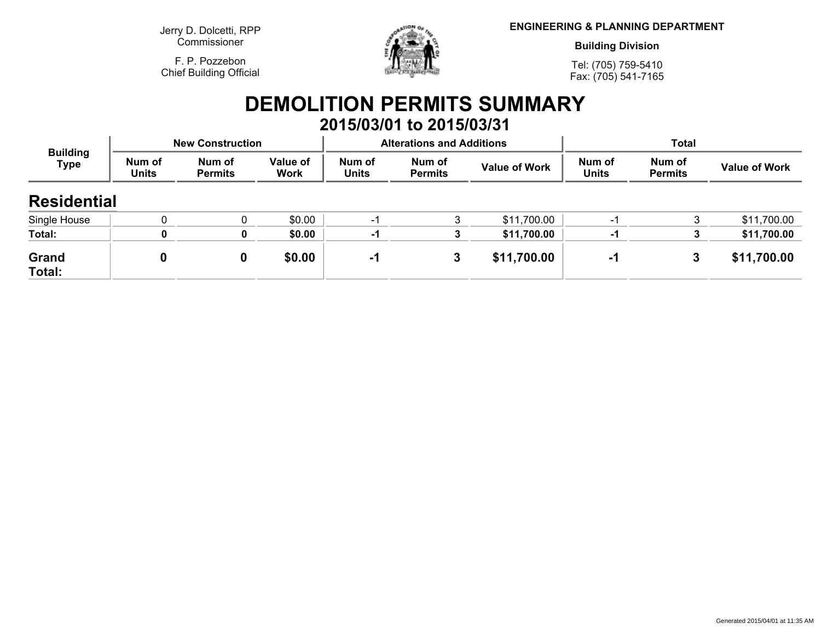**Jerry D. Dolcetti, RPPCommissioner**

**F. P. PozzebonChief Building Official**



**ENGINEERING & PLANNING DEPARTMENT**

**Building Division**

**Tel: (705) 759-5410Fax: (705) 541-7165**

## **DEMOLITION PERMITS SUMMARY 2015/03/01 to 2015/03/31**

| <b>Building</b><br><b>Type</b> |                        | <b>New Construction</b>  |                  |                        | <b>Alterations and Additions</b> |                      | <b>Total</b>           |                          |                      |
|--------------------------------|------------------------|--------------------------|------------------|------------------------|----------------------------------|----------------------|------------------------|--------------------------|----------------------|
|                                | Num of<br><b>Units</b> | Num of<br><b>Permits</b> | Value of<br>Work | Num of<br><b>Units</b> | Num of<br><b>Permits</b>         | <b>Value of Work</b> | Num of<br><b>Units</b> | Num of<br><b>Permits</b> | <b>Value of Work</b> |
| <b>Residential</b>             |                        |                          |                  |                        |                                  |                      |                        |                          |                      |
| Single House                   |                        |                          | \$0.00           | -1                     | 3                                | \$11,700.00          | -1                     |                          | \$11,700.00          |
| Total:                         |                        | 0                        | \$0.00           | -1                     |                                  | \$11,700.00          | -1                     |                          | \$11,700.00          |
| Grand<br>Total:                |                        |                          | \$0.00           | -1                     | 3                                | \$11,700.00          | -1                     | 3                        | \$11,700.00          |